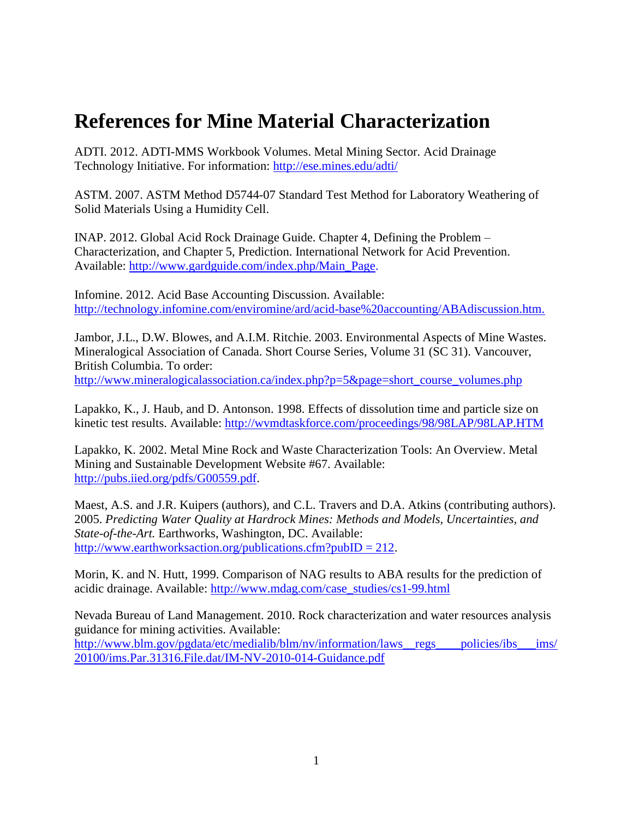## **References for Mine Material Characterization**

ADTI. 2012. ADTI-MMS Workbook Volumes. Metal Mining Sector. Acid Drainage Technology Initiative. For information:<http://ese.mines.edu/adti/>

ASTM. 2007. ASTM Method D5744-07 Standard Test Method for Laboratory Weathering of Solid Materials Using a Humidity Cell.

INAP. 2012. Global Acid Rock Drainage Guide. Chapter 4, Defining the Problem – Characterization, and Chapter 5, Prediction. International Network for Acid Prevention. Available: [http://www.gardguide.com/index.php/Main\\_Page.](http://www.gardguide.com/index.php/Main_Page)

Infomine. 2012. Acid Base Accounting Discussion. Available: <http://technology.infomine.com/enviromine/ard/acid-base%20accounting/ABAdiscussion.htm.>

Jambor, J.L., D.W. Blowes, and A.I.M. Ritchie. 2003. Environmental Aspects of Mine Wastes. Mineralogical Association of Canada. Short Course Series, Volume 31 (SC 31). Vancouver, British Columbia. To order: [http://www.mineralogicalassociation.ca/index.php?p=5&page=short\\_course\\_volumes.php](http://www.mineralogicalassociation.ca/index.php?p=5&page=short_course_volumes.php)

Lapakko, K., J. Haub, and D. Antonson. 1998. Effects of dissolution time and particle size on kinetic test results. Available:<http://wvmdtaskforce.com/proceedings/98/98LAP/98LAP.HTM>

Lapakko, K. 2002. Metal Mine Rock and Waste Characterization Tools: An Overview. Metal Mining and Sustainable Development Website #67. Available: [http://pubs.iied.org/pdfs/G00559.pdf.](http://pubs.iied.org/pdfs/G00559.pdf)

Maest, A.S. and J.R. Kuipers (authors), and C.L. Travers and D.A. Atkins (contributing authors). 2005. *Predicting Water Quality at Hardrock Mines: Methods and Models, Uncertainties, and State-of-the-Art.* Earthworks, Washington, DC. Available: [http://www.earthworksaction.org/publications.cfm?pubID = 212.](http://www.earthworksaction.org/publications.cfm?pubID=212)

Morin, K. and N. Hutt, 1999. Comparison of NAG results to ABA results for the prediction of acidic drainage. Available: [http://www.mdag.com/case\\_studies/cs1-99.html](http://www.mdag.com/case_studies/cs1-99.html)

Nevada Bureau of Land Management. 2010. Rock characterization and water resources analysis guidance for mining activities. Available: http://www.blm.gov/pgdata/etc/medialib/blm/nv/information/laws\_regs\_\_\_\_policies/ibs\_\_\_ims/ [20100/ims.Par.31316.File.dat/IM-NV-2010-014-Guidance.pdf](http://www.blm.gov/pgdata/etc/medialib/blm/nv/information/laws__regs____policies/ibs___ims/20100/ims.Par.31316.File.dat/IM-NV-2010-014-Guidance.pdf)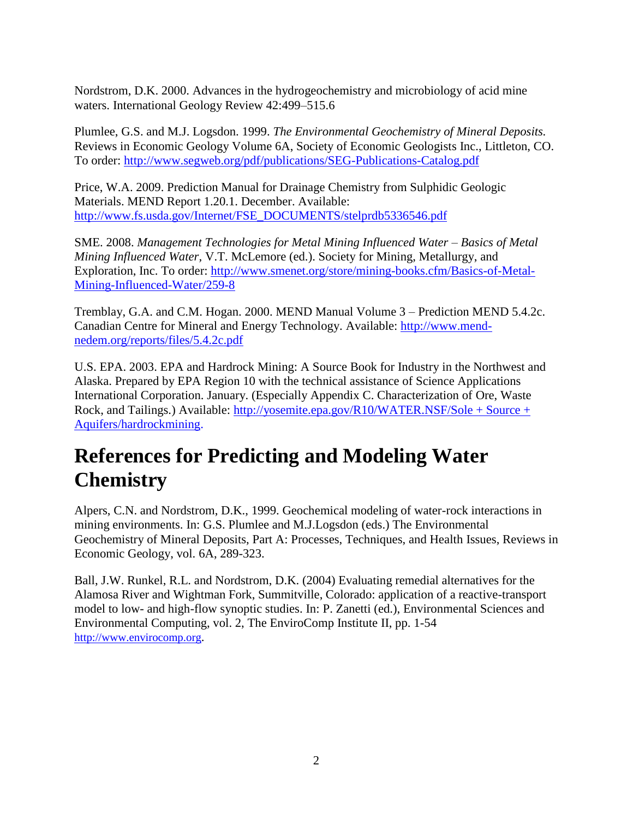Nordstrom, D.K. 2000. Advances in the hydrogeochemistry and microbiology of acid mine waters. International Geology Review 42:499–515.6

Plumlee, G.S. and M.J. Logsdon. 1999. *The Environmental Geochemistry of Mineral Deposits.* Reviews in Economic Geology Volume 6A, Society of Economic Geologists Inc., Littleton, CO. To order:<http://www.segweb.org/pdf/publications/SEG-Publications-Catalog.pdf>

Price, W.A. 2009. Prediction Manual for Drainage Chemistry from Sulphidic Geologic Materials. MEND Report 1.20.1. December. Available: [http://www.fs.usda.gov/Internet/FSE\\_DOCUMENTS/stelprdb5336546.pdf](http://www.fs.usda.gov/Internet/FSE_DOCUMENTS/stelprdb5336546.pdf)

SME. 2008. *Management Technologies for Metal Mining Influenced Water – Basics of Metal Mining Influenced Water,* V.T. McLemore (ed.). Society for Mining, Metallurgy, and Exploration, Inc. To order: [http://www.smenet.org/store/mining-books.cfm/Basics-of-Metal-](http://www.smenet.org/store/mining-books.cfm/Basics-of-Metal-Mining-Influenced-Water/259-8)[Mining-Influenced-Water/259-8](http://www.smenet.org/store/mining-books.cfm/Basics-of-Metal-Mining-Influenced-Water/259-8)

Tremblay, G.A. and C.M. Hogan. 2000. MEND Manual Volume 3 – Prediction MEND 5.4.2c. Canadian Centre for Mineral and Energy Technology. Available: [http://www.mend](http://www.mend-nedem.org/reports/files/5.4.2c.pdf)[nedem.org/reports/files/5.4.2c.pdf](http://www.mend-nedem.org/reports/files/5.4.2c.pdf)

U.S. EPA. 2003. EPA and Hardrock Mining: A Source Book for Industry in the Northwest and Alaska. Prepared by EPA Region 10 with the technical assistance of Science Applications International Corporation. January. (Especially Appendix C. Characterization of Ore, Waste Rock, and Tailings.) Available: [http://yosemite.epa.gov/R10/WATER.NSF/Sole + Source +](http://yosemite.epa.gov/R10/WATER.NSF/Sole+Source+Aquifers/hardrockmining)  [Aquifers/hardrockmining.](http://yosemite.epa.gov/R10/WATER.NSF/Sole+Source+Aquifers/hardrockmining)

## **References for Predicting and Modeling Water Chemistry**

Alpers, C.N. and Nordstrom, D.K., 1999. Geochemical modeling of water-rock interactions in mining environments. In: G.S. Plumlee and M.J.Logsdon (eds.) The Environmental Geochemistry of Mineral Deposits, Part A: Processes, Techniques, and Health Issues, Reviews in Economic Geology, vol. 6A, 289-323.

Ball, J.W. Runkel, R.L. and Nordstrom, D.K. (2004) Evaluating remedial alternatives for the Alamosa River and Wightman Fork, Summitville, Colorado: application of a reactive-transport model to low- and high-flow synoptic studies. In: P. Zanetti (ed.), Environmental Sciences and Environmental Computing, vol. 2, The EnviroComp Institute II, pp. 1-54 [http://www.envirocomp.org](http://www.envirocomp.org/).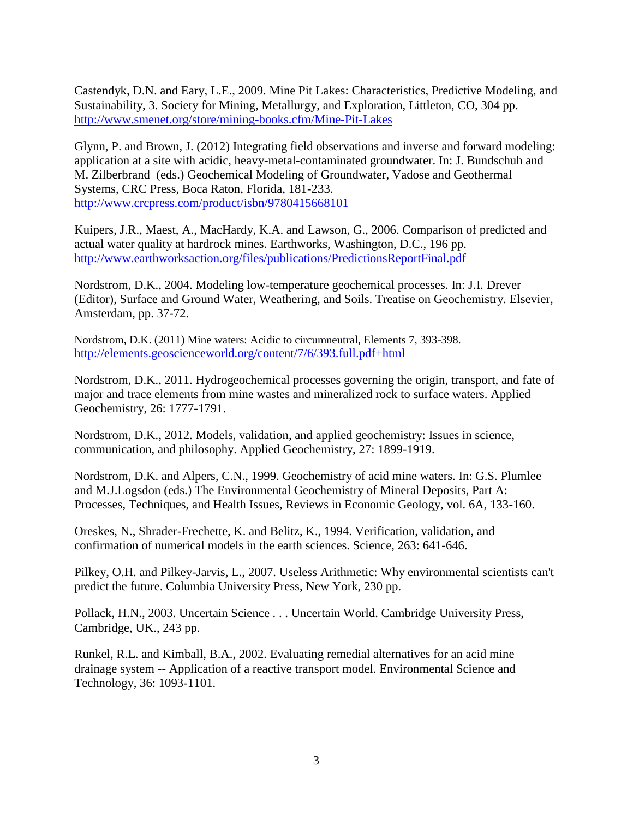Castendyk, D.N. and Eary, L.E., 2009. Mine Pit Lakes: Characteristics, Predictive Modeling, and Sustainability, 3. Society for Mining, Metallurgy, and Exploration, Littleton, CO, 304 pp. <http://www.smenet.org/store/mining-books.cfm/Mine-Pit-Lakes>

Glynn, P. and Brown, J. (2012) Integrating field observations and inverse and forward modeling: application at a site with acidic, heavy-metal-contaminated groundwater. In: J. Bundschuh and M. Zilberbrand (eds.) Geochemical Modeling of Groundwater, Vadose and Geothermal Systems, CRC Press, Boca Raton, Florida, 181-233. <http://www.crcpress.com/product/isbn/9780415668101>

Kuipers, J.R., Maest, A., MacHardy, K.A. and Lawson, G., 2006. Comparison of predicted and actual water quality at hardrock mines. Earthworks, Washington, D.C., 196 pp. <http://www.earthworksaction.org/files/publications/PredictionsReportFinal.pdf>

Nordstrom, D.K., 2004. Modeling low-temperature geochemical processes. In: J.I. Drever (Editor), Surface and Ground Water, Weathering, and Soils. Treatise on Geochemistry. Elsevier, Amsterdam, pp. 37-72.

Nordstrom, D.K. (2011) Mine waters: Acidic to circumneutral, Elements 7, 393-398. <http://elements.geoscienceworld.org/content/7/6/393.full.pdf+html>

Nordstrom, D.K., 2011. Hydrogeochemical processes governing the origin, transport, and fate of major and trace elements from mine wastes and mineralized rock to surface waters. Applied Geochemistry, 26: 1777-1791.

Nordstrom, D.K., 2012. Models, validation, and applied geochemistry: Issues in science, communication, and philosophy. Applied Geochemistry, 27: 1899-1919.

Nordstrom, D.K. and Alpers, C.N., 1999. Geochemistry of acid mine waters. In: G.S. Plumlee and M.J.Logsdon (eds.) The Environmental Geochemistry of Mineral Deposits, Part A: Processes, Techniques, and Health Issues, Reviews in Economic Geology, vol. 6A, 133-160.

Oreskes, N., Shrader-Frechette, K. and Belitz, K., 1994. Verification, validation, and confirmation of numerical models in the earth sciences. Science, 263: 641-646.

Pilkey, O.H. and Pilkey-Jarvis, L., 2007. Useless Arithmetic: Why environmental scientists can't predict the future. Columbia University Press, New York, 230 pp.

Pollack, H.N., 2003. Uncertain Science . . . Uncertain World. Cambridge University Press, Cambridge, UK., 243 pp.

Runkel, R.L. and Kimball, B.A., 2002. Evaluating remedial alternatives for an acid mine drainage system -- Application of a reactive transport model. Environmental Science and Technology, 36: 1093-1101.